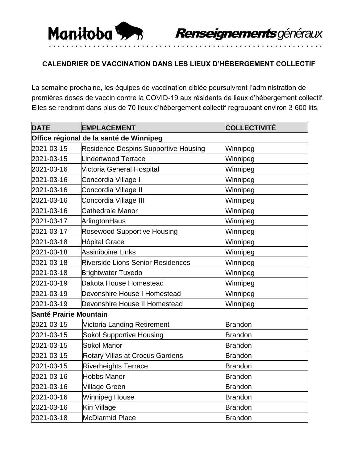

## **CALENDRIER DE VACCINATION DANS LES LIEUX D'HÉBERGEMENT COLLECTIF**

La semaine prochaine, les équipes de vaccination ciblée poursuivront l'administration de premières doses de vaccin contre la COVID-19 aux résidents de lieux d'hébergement collectif. Elles se rendront dans plus de 70 lieux d'hébergement collectif regroupant environ 3 600 lits.

| <b>DATE</b>                             | <b>EMPLACEMENT</b>                       | COLLECTIVITÉ   |  |  |
|-----------------------------------------|------------------------------------------|----------------|--|--|
| Office régional de la santé de Winnipeg |                                          |                |  |  |
| 2021-03-15                              | Residence Despins Supportive Housing     | Winnipeg       |  |  |
| 2021-03-15                              | Lindenwood Terrace                       | Winnipeg       |  |  |
| 2021-03-16                              | Victoria General Hospital                | Winnipeg       |  |  |
| 2021-03-16                              | Concordia Village I                      | Winnipeg       |  |  |
| 2021-03-16                              | Concordia Village II                     | Winnipeg       |  |  |
| 2021-03-16                              | Concordia Village III                    | Winnipeg       |  |  |
| 2021-03-16                              | Cathedrale Manor                         | Winnipeg       |  |  |
| 2021-03-17                              | ArlingtonHaus                            | Winnipeg       |  |  |
| 2021-03-17                              | <b>Rosewood Supportive Housing</b>       | Winnipeg       |  |  |
| 2021-03-18                              | <b>Hôpital Grace</b>                     | Winnipeg       |  |  |
| 2021-03-18                              | <b>Assiniboine Links</b>                 | Winnipeg       |  |  |
| 2021-03-18                              | <b>Riverside Lions Senior Residences</b> | Winnipeg       |  |  |
| 2021-03-18                              | <b>Brightwater Tuxedo</b>                | Winnipeg       |  |  |
| 2021-03-19                              | Dakota House Homestead                   | Winnipeg       |  |  |
| 2021-03-19                              | Devonshire House I Homestead             | Winnipeg       |  |  |
| 2021-03-19                              | Devonshire House II Homestead            | Winnipeg       |  |  |
| <b>Santé Prairie Mountain</b>           |                                          |                |  |  |
| 2021-03-15                              | Victoria Landing Retirement              | <b>Brandon</b> |  |  |
| 2021-03-15                              | <b>Sokol Supportive Housing</b>          | <b>Brandon</b> |  |  |
| 2021-03-15                              | <b>Sokol Manor</b>                       | <b>Brandon</b> |  |  |
| 2021-03-15                              | <b>Rotary Villas at Crocus Gardens</b>   | <b>Brandon</b> |  |  |
| 2021-03-15                              | <b>Riverheights Terrace</b>              | <b>Brandon</b> |  |  |
| 2021-03-16                              | <b>Hobbs Manor</b>                       | <b>Brandon</b> |  |  |
| 2021-03-16                              | Village Green                            | <b>Brandon</b> |  |  |
| 2021-03-16                              | Winnipeg House                           | <b>Brandon</b> |  |  |
| 2021-03-16                              | Kin Village                              | <b>Brandon</b> |  |  |
| 2021-03-18                              | McDiarmid Place                          | <b>Brandon</b> |  |  |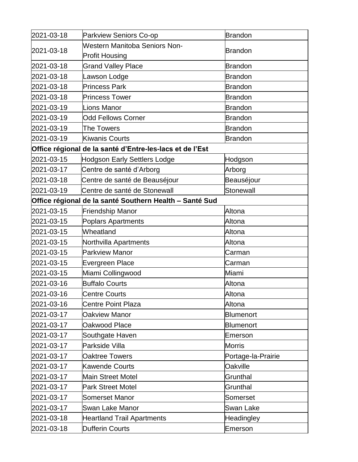| 2021-03-18                                               | <b>Parkview Seniors Co-op</b>                           | Brandon            |  |  |
|----------------------------------------------------------|---------------------------------------------------------|--------------------|--|--|
| 2021-03-18                                               | <b>Western Manitoba Seniors Non-</b>                    |                    |  |  |
|                                                          | <b>Profit Housing</b>                                   | <b>Brandon</b>     |  |  |
| 2021-03-18                                               | <b>Grand Valley Place</b>                               | Brandon            |  |  |
| 2021-03-18                                               | Lawson Lodge                                            | <b>Brandon</b>     |  |  |
| 2021-03-18                                               | <b>Princess Park</b>                                    | Brandon            |  |  |
| 2021-03-18                                               | <b>Princess Tower</b>                                   | Brandon            |  |  |
| 2021-03-19                                               | <b>Lions Manor</b>                                      | <b>Brandon</b>     |  |  |
| 2021-03-19                                               | <b>Odd Fellows Corner</b>                               | <b>Brandon</b>     |  |  |
| 2021-03-19                                               | <b>The Towers</b>                                       | <b>Brandon</b>     |  |  |
| 2021-03-19                                               | <b>Kiwanis Courts</b>                                   | <b>Brandon</b>     |  |  |
| Office régional de la santé d'Entre-les-lacs et de l'Est |                                                         |                    |  |  |
| 2021-03-15                                               | <b>Hodgson Early Settlers Lodge</b>                     | Hodgson            |  |  |
| 2021-03-17                                               | Centre de santé d'Arborg                                | Arborg             |  |  |
| 2021-03-18                                               | Centre de santé de Beauséjour                           | Beauséjour         |  |  |
| 2021-03-19                                               | Centre de santé de Stonewall                            | Stonewall          |  |  |
|                                                          | Office régional de la santé Southern Health – Santé Sud |                    |  |  |
| 2021-03-15                                               | <b>Friendship Manor</b>                                 | Altona             |  |  |
| 2021-03-15                                               | <b>Poplars Apartments</b>                               | Altona             |  |  |
| 2021-03-15                                               | Wheatland                                               | Altona             |  |  |
| 2021-03-15                                               | Northvilla Apartments                                   | Altona             |  |  |
| 2021-03-15                                               | <b>Parkview Manor</b>                                   | Carman             |  |  |
| 2021-03-15                                               | Evergreen Place                                         | Carman             |  |  |
| 2021-03-15                                               | Miami Collingwood                                       | Miami              |  |  |
| 2021-03-16                                               | <b>Buffalo Courts</b>                                   | Altona             |  |  |
| 2021-03-16                                               | <b>Centre Courts</b>                                    | Altona             |  |  |
| 2021-03-16                                               | <b>Centre Point Plaza</b>                               | Altona             |  |  |
| 2021-03-17                                               | Oakview Manor                                           | <b>Blumenort</b>   |  |  |
| 2021-03-17                                               | Oakwood Place                                           | <b>Blumenort</b>   |  |  |
| 2021-03-17                                               | Southgate Haven                                         | Emerson            |  |  |
| 2021-03-17                                               | Parkside Villa                                          | Morris             |  |  |
| 2021-03-17                                               | <b>Oaktree Towers</b>                                   | Portage-la-Prairie |  |  |
| 2021-03-17                                               | <b>Kawende Courts</b>                                   | Oakville           |  |  |
| 2021-03-17                                               | <b>Main Street Motel</b>                                | Grunthal           |  |  |
| 2021-03-17                                               | <b>Park Street Motel</b>                                | Grunthal           |  |  |
| 2021-03-17                                               | <b>Somerset Manor</b>                                   | Somerset           |  |  |
| 2021-03-17                                               | Swan Lake Manor                                         | <b>Swan Lake</b>   |  |  |
| 2021-03-18                                               | <b>Heartland Trail Apartments</b>                       | Headingley         |  |  |
| 2021-03-18                                               | <b>Dufferin Courts</b>                                  | Emerson            |  |  |